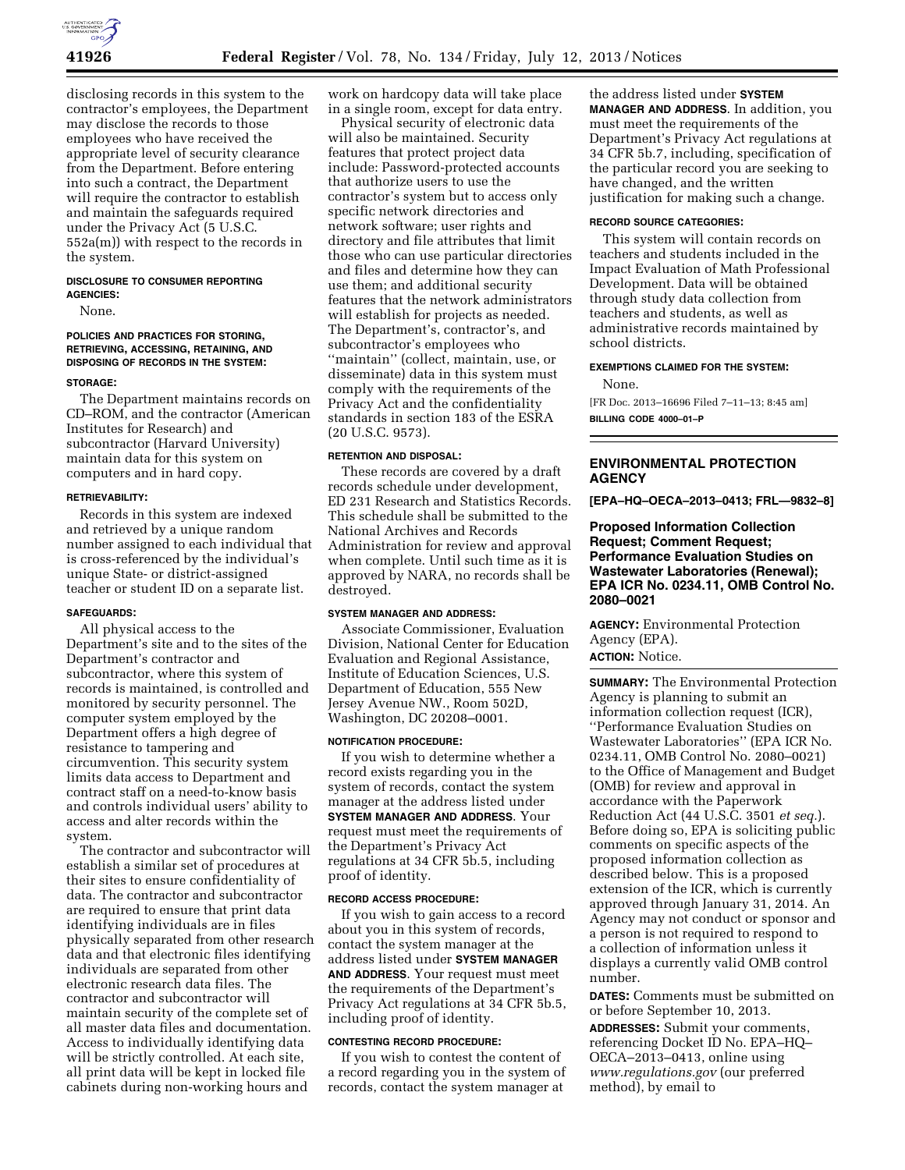

disclosing records in this system to the contractor's employees, the Department may disclose the records to those employees who have received the appropriate level of security clearance from the Department. Before entering into such a contract, the Department will require the contractor to establish and maintain the safeguards required under the Privacy Act (5 U.S.C. 552a(m)) with respect to the records in the system.

### **DISCLOSURE TO CONSUMER REPORTING AGENCIES:**

None.

### **POLICIES AND PRACTICES FOR STORING, RETRIEVING, ACCESSING, RETAINING, AND DISPOSING OF RECORDS IN THE SYSTEM:**

#### **STORAGE:**

The Department maintains records on CD–ROM, and the contractor (American Institutes for Research) and subcontractor (Harvard University) maintain data for this system on computers and in hard copy.

#### **RETRIEVABILITY:**

Records in this system are indexed and retrieved by a unique random number assigned to each individual that is cross-referenced by the individual's unique State- or district-assigned teacher or student ID on a separate list.

### **SAFEGUARDS:**

All physical access to the Department's site and to the sites of the Department's contractor and subcontractor, where this system of records is maintained, is controlled and monitored by security personnel. The computer system employed by the Department offers a high degree of resistance to tampering and circumvention. This security system limits data access to Department and contract staff on a need-to-know basis and controls individual users' ability to access and alter records within the system.

The contractor and subcontractor will establish a similar set of procedures at their sites to ensure confidentiality of data. The contractor and subcontractor are required to ensure that print data identifying individuals are in files physically separated from other research data and that electronic files identifying individuals are separated from other electronic research data files. The contractor and subcontractor will maintain security of the complete set of all master data files and documentation. Access to individually identifying data will be strictly controlled. At each site, all print data will be kept in locked file cabinets during non-working hours and

work on hardcopy data will take place in a single room, except for data entry.

Physical security of electronic data will also be maintained. Security features that protect project data include: Password-protected accounts that authorize users to use the contractor's system but to access only specific network directories and network software; user rights and directory and file attributes that limit those who can use particular directories and files and determine how they can use them; and additional security features that the network administrators will establish for projects as needed. The Department's, contractor's, and subcontractor's employees who ''maintain'' (collect, maintain, use, or disseminate) data in this system must comply with the requirements of the Privacy Act and the confidentiality standards in section 183 of the ESRA (20 U.S.C. 9573).

# **RETENTION AND DISPOSAL:**

These records are covered by a draft records schedule under development, ED 231 Research and Statistics Records. This schedule shall be submitted to the National Archives and Records Administration for review and approval when complete. Until such time as it is approved by NARA, no records shall be destroyed.

## **SYSTEM MANAGER AND ADDRESS:**

Associate Commissioner, Evaluation Division, National Center for Education Evaluation and Regional Assistance, Institute of Education Sciences, U.S. Department of Education, 555 New Jersey Avenue NW., Room 502D, Washington, DC 20208–0001.

#### **NOTIFICATION PROCEDURE:**

If you wish to determine whether a record exists regarding you in the system of records, contact the system manager at the address listed under **SYSTEM MANAGER AND ADDRESS**. Your request must meet the requirements of the Department's Privacy Act regulations at 34 CFR 5b.5, including proof of identity.

# **RECORD ACCESS PROCEDURE:**

If you wish to gain access to a record about you in this system of records, contact the system manager at the address listed under **SYSTEM MANAGER AND ADDRESS**. Your request must meet the requirements of the Department's Privacy Act regulations at 34 CFR 5b.5, including proof of identity.

### **CONTESTING RECORD PROCEDURE:**

If you wish to contest the content of a record regarding you in the system of records, contact the system manager at

the address listed under **SYSTEM MANAGER AND ADDRESS**. In addition, you must meet the requirements of the Department's Privacy Act regulations at 34 CFR 5b.7, including, specification of the particular record you are seeking to have changed, and the written justification for making such a change.

### **RECORD SOURCE CATEGORIES:**

This system will contain records on teachers and students included in the Impact Evaluation of Math Professional Development. Data will be obtained through study data collection from teachers and students, as well as administrative records maintained by school districts.

# **EXEMPTIONS CLAIMED FOR THE SYSTEM:**

None.

[FR Doc. 2013–16696 Filed 7–11–13; 8:45 am] **BILLING CODE 4000–01–P** 

# **ENVIRONMENTAL PROTECTION AGENCY**

**[EPA–HQ–OECA–2013–0413; FRL—9832–8]** 

# **Proposed Information Collection Request; Comment Request; Performance Evaluation Studies on Wastewater Laboratories (Renewal); EPA ICR No. 0234.11, OMB Control No. 2080–0021**

**AGENCY:** Environmental Protection Agency (EPA). **ACTION:** Notice.

**SUMMARY:** The Environmental Protection Agency is planning to submit an information collection request (ICR), ''Performance Evaluation Studies on Wastewater Laboratories'' (EPA ICR No. 0234.11, OMB Control No. 2080–0021) to the Office of Management and Budget (OMB) for review and approval in accordance with the Paperwork Reduction Act (44 U.S.C. 3501 *et seq.*). Before doing so, EPA is soliciting public comments on specific aspects of the proposed information collection as described below. This is a proposed extension of the ICR, which is currently approved through January 31, 2014. An Agency may not conduct or sponsor and a person is not required to respond to a collection of information unless it displays a currently valid OMB control number.

**DATES:** Comments must be submitted on or before September 10, 2013.

**ADDRESSES:** Submit your comments, referencing Docket ID No. EPA–HQ– OECA–2013–0413, online using *[www.regulations.gov](http://www.regulations.gov)* (our preferred method), by email to